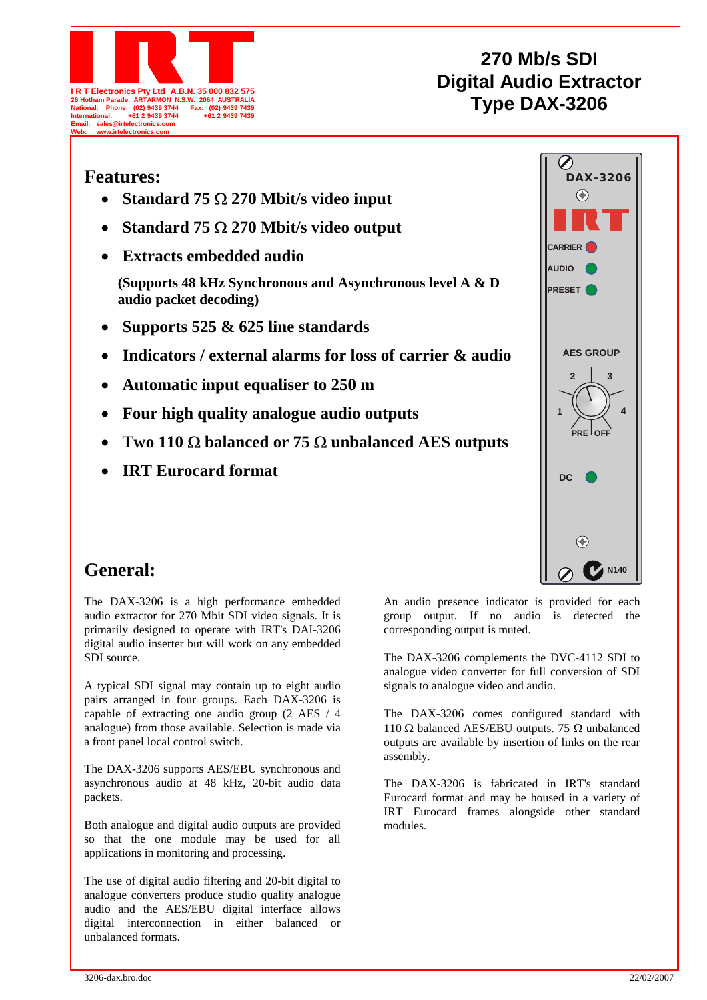

## **270 Mb/s SDI Digital Audio Extractor W. 2064 AUSTRALIA**<br>Fax: (02) 9439 7439<br> $\frac{1}{2}$  (8) 29439 7439

| <b>Features:</b>                                                                    |            |
|-------------------------------------------------------------------------------------|------------|
| Standard 75 $\Omega$ 270 Mbit/s video input                                         |            |
| Standard 75 $\Omega$ 270 Mbit/s video output                                        |            |
| <b>Extracts embedded audio</b>                                                      | CAF        |
| (Supports 48 kHz Synchronous and Asynchronous level A & D<br>audio packet decoding) | AUI<br>PRE |
| Supports 525 $\&$ 625 line standards                                                |            |
| Indicators / external alarms for loss of carrier & audio                            |            |
| Automatic input equaliser to 250 m                                                  |            |
| Four high quality analogue audio outputs                                            |            |
|                                                                                     |            |

- **Two 110** Ω **balanced or 75** Ω **unbalanced AES outputs**
- **IRT Eurocard format**



## **General:**

The DAX-3206 is a high performance embedded audio extractor for 270 Mbit SDI video signals. It is primarily designed to operate with IRT's DAI-3206 digital audio inserter but will work on any embedded SDI source.

A typical SDI signal may contain up to eight audio pairs arranged in four groups. Each DAX-3206 is capable of extracting one audio group (2 AES / 4 analogue) from those available. Selection is made via a front panel local control switch.

The DAX-3206 supports AES/EBU synchronous and asynchronous audio at 48 kHz, 20-bit audio data packets.

Both analogue and digital audio outputs are provided so that the one module may be used for all applications in monitoring and processing.

The use of digital audio filtering and 20-bit digital to analogue converters produce studio quality analogue audio and the AES/EBU digital interface allows digital interconnection in either balanced or unbalanced formats.

An audio presence indicator is provided for each group output. If no audio is detected the corresponding output is muted.

The DAX-3206 complements the DVC-4112 SDI to analogue video converter for full conversion of SDI signals to analogue video and audio.

The DAX-3206 comes configured standard with 110 Ω balanced AES/EBU outputs. 75 Ω unbalanced outputs are available by insertion of links on the rear assembly.

The DAX-3206 is fabricated in IRT's standard Eurocard format and may be housed in a variety of IRT Eurocard frames alongside other standard modules.